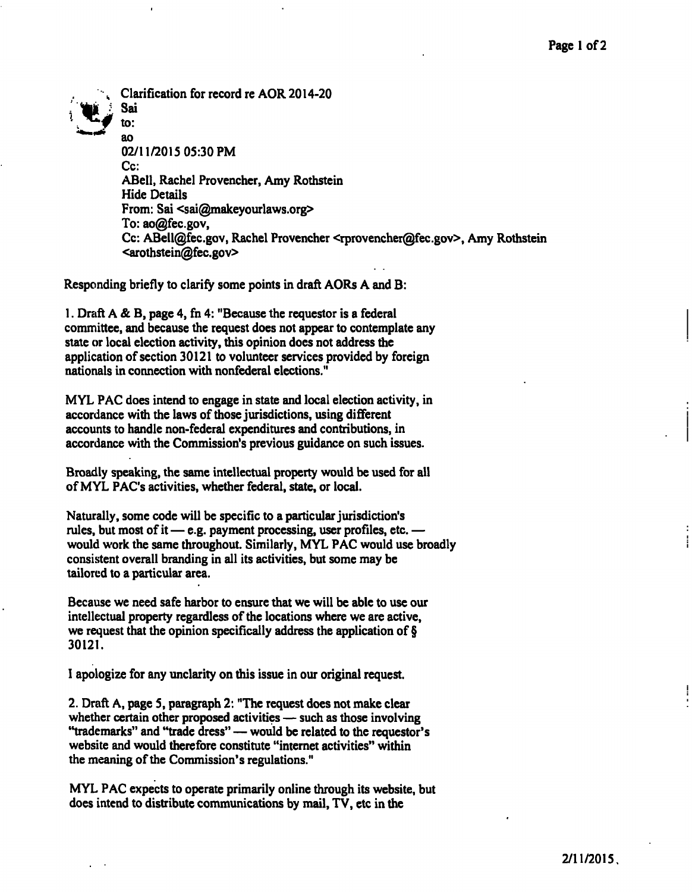**^ Clarification for record re AOR 2014-20**  Sai to: **ao 02/11/2015 05:30 PM Cc: ABell, Rachel Provencher, Amy Rothstein Hide Details**  From: Sai <sai@makeyourlaws.org> **To: [ao@fec.gov,](mailto:ao@fec.gov) Cc: [ABell@fec.gov,](mailto:ABell@fec.gov) Rachel Provencher <[rprovencher@fec.gov>.](mailto:rprovencher@fec.gov) Amy Rothstein <[arothstein@fec.gov>](mailto:arothstein@fec.gov)** 

**Responding briefly to clarify some points in draft AORs A and B:** 

**1. Draft A & B, page 4, fn 4: "Because the requestor is a federal committee, and because the request does not appear to contemplate any state or local election activity, this opinion does not address the application of section 30121 to volunteer services provided by foreign nationals in connection with nonfederal elections."** 

**MYL PAC does intend to engage in state and local election activity, in accordance with the laws of those jurisdictions, using different accounts to handle non-federal expenditures and contributions, in accordance with the Commission's previous guidance on such issues.** 

**Broadly speaking, the same intellectual property would be used for all of MYL PAC's activities, whether federal, state, or local.** 

**Naturally, some code will be specific to a particular jurisdiction's rules, but most of it — e.g. payment processing, user profiles, etc. would work the same throughout. Similarly, MYL PAC would use broadly consistent overall branding in all its activities, but some may be tailored to a particular area.** 

**Because we need safe harbor to ensure that we will be able to use our intellectual property regardless of the locations where we are active, we request that the opinion specifically address the application of § 30121.** 

**I apologize for any unclarity on this issue in our original request.** 

**2. Draft A, page 5, paragraph 2: "The request does not make clear whether certain other proposed activities — such as those involving "trademarks" and "trade dress" — would be related to the requestor's website and would therefore constitute "internet activities" within the meaning of the Commission's regulations."** 

**MYL PAC expects to operate primarily online through its website, but does intend to distribute communications by mail, TV, etc in the**